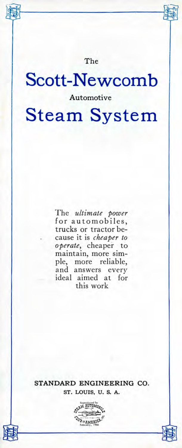The

# Scott-Newcomb Automotive Steam System

The *ultimate power* for automobiles, trucks or tractor because it is *cheaper to operate,* cheaper to maintain, more simple, more reliable, and answers every ideal aimed at for this work

STANDARD ENGINEERING **CO.** ST. LOUIS, U. S. A.

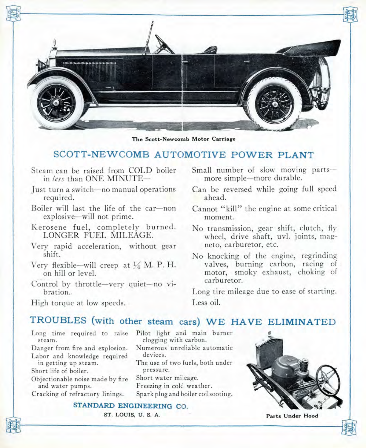

**The Scott-Newcomb Motor Carriage**

# SCOTT-NEWCOMB AUTOMOTIVE POWER PLANT

- Steam can be raised from COLD boiler in *less* than ONE MINUTE-
- Just turn a switch—no manual operations required.
- Boiler will last the life of the car—non explosive—will not prime.
- Kerosene fuel, completely burned. LONGER FUEL MILEAGE.
- Very rapid acceleration, without gear shift.
- Very flexible—will creep at  $\frac{1}{4}$  M. P. H. on hill or level.
- Control by throttle—very quiet—no vibration.

**STANDARD ENGINEERING CO.**

- Small number of slow moving parts more simple—more durable.
- Can be reversed while going full speed ahead.
- Cannot "kill" the engine at some critical moment.
- No transmission, gear shift, clutch, flywheel, drive shaft, uvl. joints, magneto, carburetor, etc.
- No knocking of the engine, regrinding valves, burning carbon, racing of motor, smoky exhaust, choking of carburetor.

Long tire mileage due to ease of starting. Less oil.

High torque at low speeds.

# TROUBLES (with other steam cars) WE HAVE ELIMINATED

Long time required to raise steam. Danger from fire and explosion. Labor and knowledge required in getting up steam. Short life of boiler. Objectionable noise made by fire and water pumps. Cracking of refractory linings.

Pilot light and main burner clogging with carbon. Numerous unreliable automatic devices. The use of two fuels, both under pressure. Short water mileage. Freezing in cold weather. Spark plug and boiler coilsooting.



ST. LOUIS, U. S. A. **Parts Under Hood**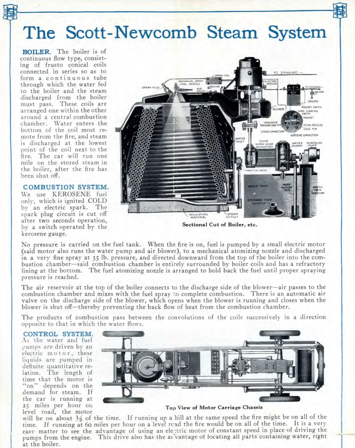# The Scott-Newcomb Steam System

**BOILER.** The boiler is of continuous flow type, consisting of frusto conical coils connected in series so as to form a continuous tube through which the water fed to the boiler and the steam discharged from the boiler must pass. These coils are arranged one within the other around a central combustion chamber. Water enters the bottom of the coil most remote from the fire, and steam is discharged at the lowest point of the coil next to the fire. The car will run one mile on the stored steam in the. boiler, after the fire has been shut off.

#### COMBUSTION SYSTEM.

We use KEROSENE fuel only, which is ignited COLD by an electric spark. The spark plug circuit is cut off after two seconds operation, by a switch operated by the kerosene gauge.



No pressure is carried on the fuel tank. When the fire is on, fuel is pumped by a small electric motor (said motor also runs the water pump and air blower), to a mechanical atomizing nozzle and discharged in a very fine spray at 35 Ib. pressure, and directed downward from the top of the boiler into the combustion chamber—said combustion chamber is entirely surrounded by boiler coils and has a refractory lining at the bottom. The fuel atomizing nozzle is arranged to hold back the fuel until proper spraying pressure is reached.

The air reservoir at the top of the boiler connects to the discharge side of the blower—air passes to the combustion chamber and mixes with the fuel spray to complete combustion. There is an automatic air valve on the discharge side of the blower, which opens when the blower is running and closes when the blower is shut off—thereby preventing the back flow of heat from the combustion chamber.

The products of combustion pass between the convolutions of the coils successively in a direction opposite to that in which the water flows.

CONTROL SYSTEM.

As the water and fuel pumps are driven by an electric motor, these liquids are pumped in definite quantitative relation. The length of time that the motor is "on" depends on the demand for steam. If the car is running at 25 miles per hour on level road, the motor



**Top View of Motor Carriage Chassis**

will be on about *1A* of the time, If running up a hill at the same speed the fire might be on all of the time. If running at 60 miles per hour on a level read the fire would be on all of the time. It is a very easv matter to see the advantage of using an ele:tric motor of constant speed in place of driving the pumps from the engine. This drive also has the ac'vantage of locating all parts containing water, right at the boiler.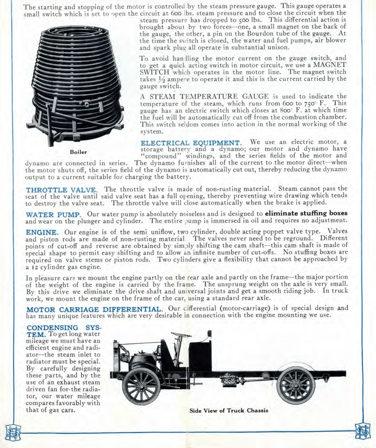The starting and stopping of the motor is controlled by the steam pressure gauge. This gauge operates a small switch which is set to open the circuit at 600 ibs. steam pressure and to close the circuit when the



steam pressure has dropped to 500 Ibs. This differential action is brought about by two forces—one, a small magnet on the back of the gauge, the other, a pin on the Bourdon tube of the gauge. At the time the switch is closed, the water and fuel pumps, air blower and spark plug all operate in substantial unison.

To avoid handling the motor current on the gauge switch, and to get a quick acting switch in motor circuit, we use a MAGNET SWITCH which operates in the motor line. The magnet switch takes  $\frac{1}{2}$  ampere to operate it and this is the current carried by the gauge switch.

A STEAM TEMPERATURE GAUGE is used to indicate the temperature of the steam, which runs from 600 to 750° F. This gauge has an electric switch which closes at 800° F. at which time the fuel will be automatically cut off from the combustion chamber. This switch seldom comes into action in the normal working of the system.

**ELECTRICAL EQUIPMENT.** We use an electric motor, a storage battery and a dynamo; our motor and dynamo have "compound" windings, and the series fields of the motor and

dynamo are connected in series. The dynamo furnishes all of the current to the motor direct—when the motor shuts off, the series field of the dynamo is automatically cut out, thereby reducing the dynamo output to a current suitable for charging the battery.

**THROTTLE VALVE.** The throttle valve is made of non-rusting material. Steam cannot pass the seat of the valve until said valve seat has a full opening, thereby preventing wire drawing which tends to destroy the valve seat. The throttle valve will close automatically when the brake is applied.

**WATER PUMP.** Our water pump is absolutely noiseless and is designed to **eliminate stuffing boxes** and wear on the plunger and cylinder. The entire pump is immersed in oil and requires no adjustment.

**ENGINE.** Our engine is of the semi uniflow, two cylinder, double acting poppet valve type. Valves and piston rods are made of non-rusting material The valves never need to be reground. Different points of cut-off and reverse are obtained by simply shifting the cam shaft—this cam shaft is made of special shape to permit easy shifting and to allow an infinite number of cut-offs. No stuffing boxes are required on valve stems or piston rods. Two cylinders give a flexibility that cannot be approached by a 12 cylinder gas engine.

In pleasure cars we mount the engine partly on the rear axle and partly on the frame—the major portion of the weight of the engine is carried by the frame. The unsprung weight on the axle is very small. By this drive we eliminate the drive shaft and universal joints and get a smooth riding job. In truck work, we mount the engine on the frame of the car, using a standard rear axle.

MOTOR CARRIAGE DIFFERENTIAL. Our cifferential (motor-carriage) is of special design and has many unique features which are very desirable in connection with the engine mounting we use.

#### **CONDENSING SYS-**

**TEM.** To get long water mileage we must have an efficient engine and radiator—the steam inlet to radiator must be special. By carefully designing these parts, and by the use of an exhaust steam driven fan for-the radiator, our water mileage compares favorably with